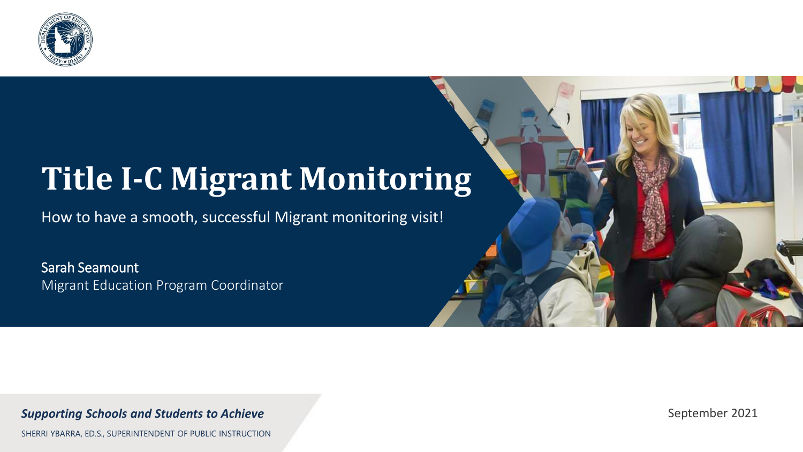

### **Title I-C Migrant Monitoring**

How to have a smooth, successful Migrant monitoring visit!

Sarah Seamount Migrant Education Program Coordinator

*Supporting Schools and Students to Achieve*

SHERRI YBARRA, ED.S., SUPERINTENDENT OF PUBLIC INSTRUCTION

September 2021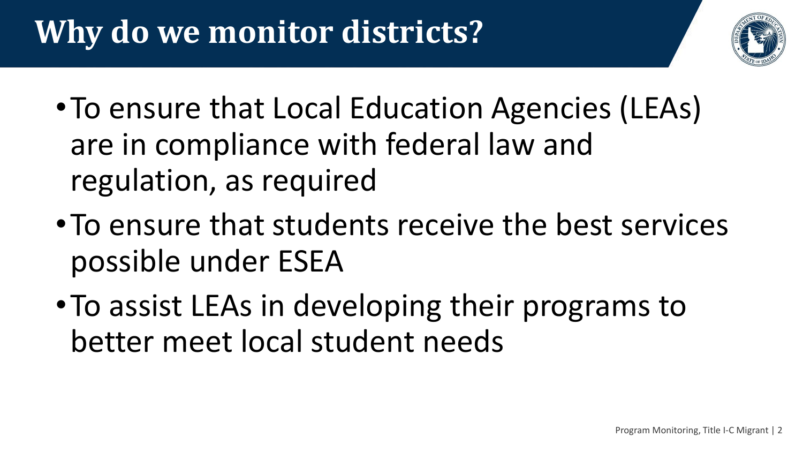# **Why do we monitor districts?**



- •To ensure that Local Education Agencies (LEAs) are in compliance with federal law and regulation, as required
- •To ensure that students receive the best services possible under ESEA
- •To assist LEAs in developing their programs to better meet local student needs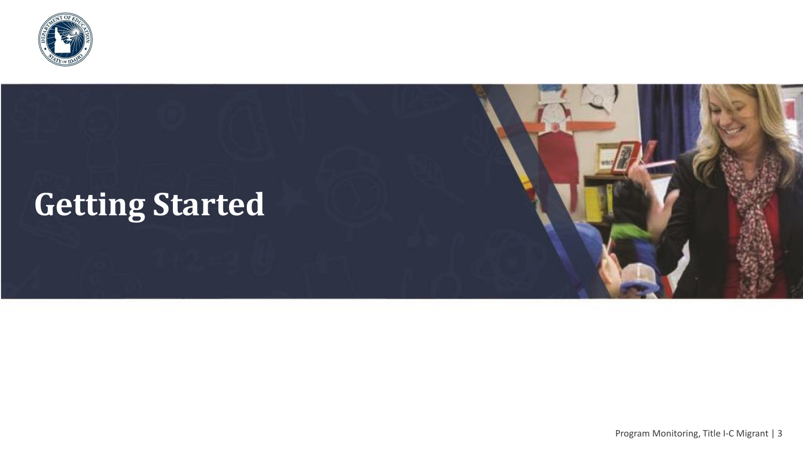

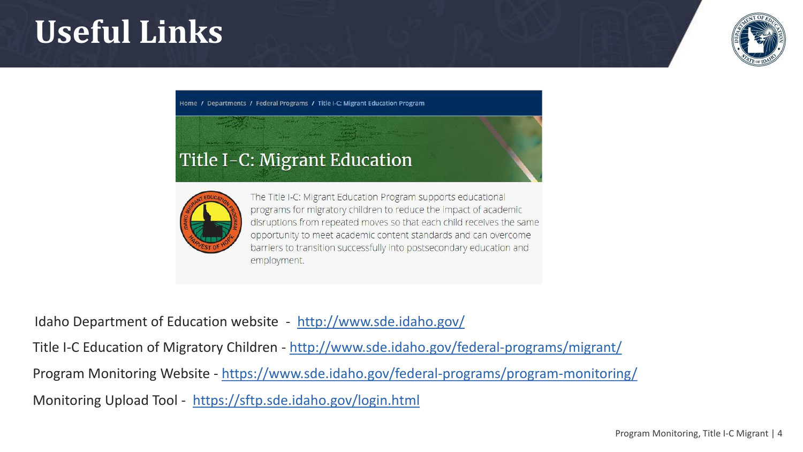### **Useful Links**



Home / Departments / Federal Programs / Title I-C: Migrant Education Program

#### Title I-C: Migrant Education



The Title I-C: Migrant Education Program supports educational programs for migratory children to reduce the impact of academic disruptions from repeated moves so that each child receives the same opportunity to meet academic content standards and can overcome barriers to transition successfully into postsecondary education and employment.

Idaho Department of Education website - <http://www.sde.idaho.gov/> Title I-C Education of Migratory Children - <http://www.sde.idaho.gov/federal-programs/migrant/> Program Monitoring Website - <https://www.sde.idaho.gov/federal-programs/program-monitoring/> Monitoring Upload Tool - <https://sftp.sde.idaho.gov/login.html>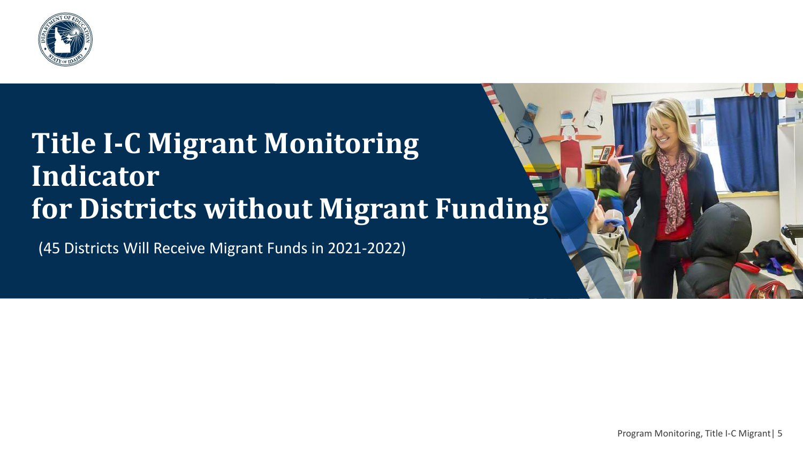

### **Title I-C Migrant Monitoring Indicator for Districts without Migrant Funding**

(45 Districts Will Receive Migrant Funds in 2021-2022)

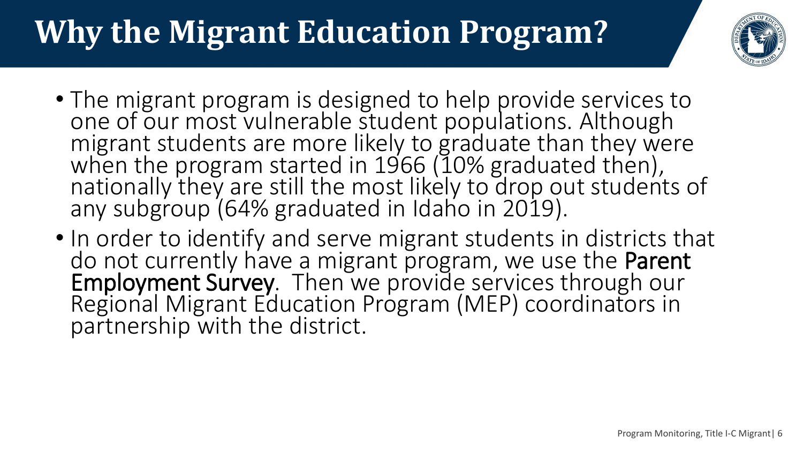# **Why the Migrant Education Program?**



- The migrant program is designed to help provide services to one of our most vulnerable student populations. Although migrant students are more likely to graduate than they were when the program started in 1966 (10% graduated then), nationally they are still the most likely to drop out students of any subgroup (64% graduated in Idaho in 2019).
- In order to identify and serve migrant students in districts that do not currently have a migrant program, we use the Parent Employment Survey. Then we provide services through our Regional Migrant Education Program (MEP) coordinators in partnership with the district.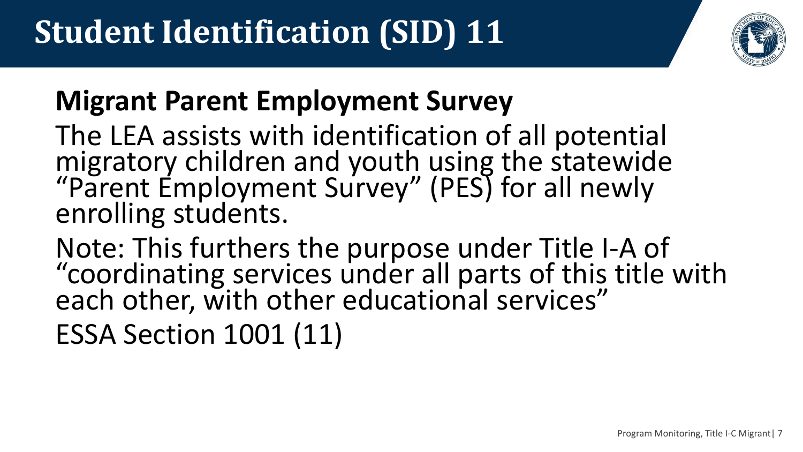

### **Migrant Parent Employment Survey**

The LEA assists with identification of all potential migratory children and youth using the statewide "Parent Employment Survey" (PES) for all newly enrolling students.

Note: This furthers the purpose under Title I-A of "coordinating services under all parts of this title with each other, with other educational services"

ESSA Section 1001 (11)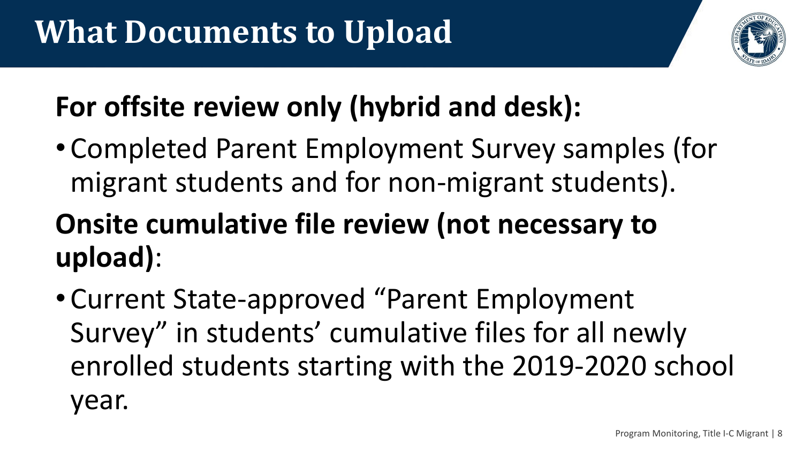

### **For offsite review only (hybrid and desk):**

• Completed Parent Employment Survey samples (for migrant students and for non-migrant students).

### **Onsite cumulative file review (not necessary to upload)**:

• Current State-approved "Parent Employment Survey" in students' cumulative files for all newly enrolled students starting with the 2019-2020 school year.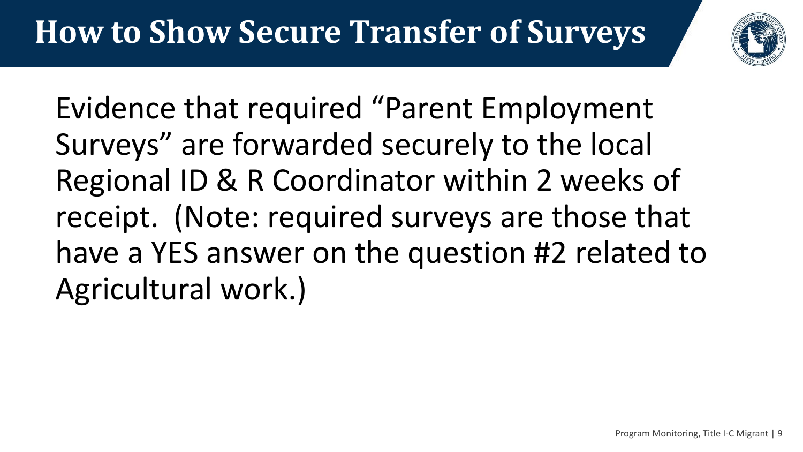

Evidence that required "Parent Employment Surveys" are forwarded securely to the local Regional ID & R Coordinator within 2 weeks of receipt. (Note: required surveys are those that have a YES answer on the question #2 related to Agricultural work.)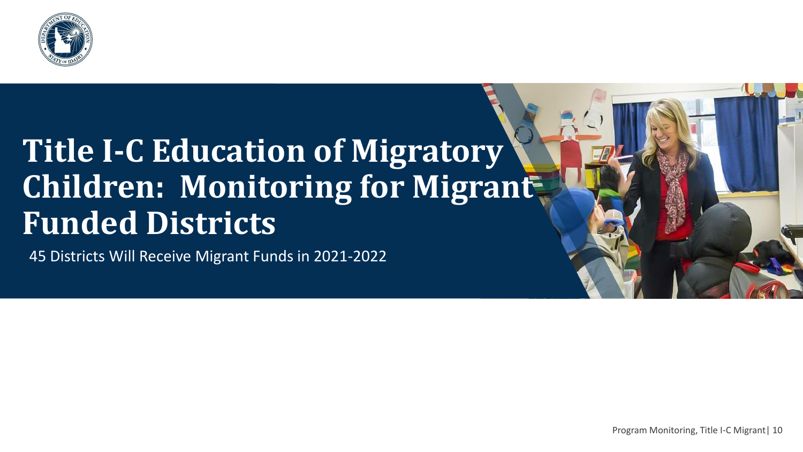

### **Title I-C Education of Migratory Children: Monitoring for Migrant Funded Districts**

45 Districts Will Receive Migrant Funds in 2021-2022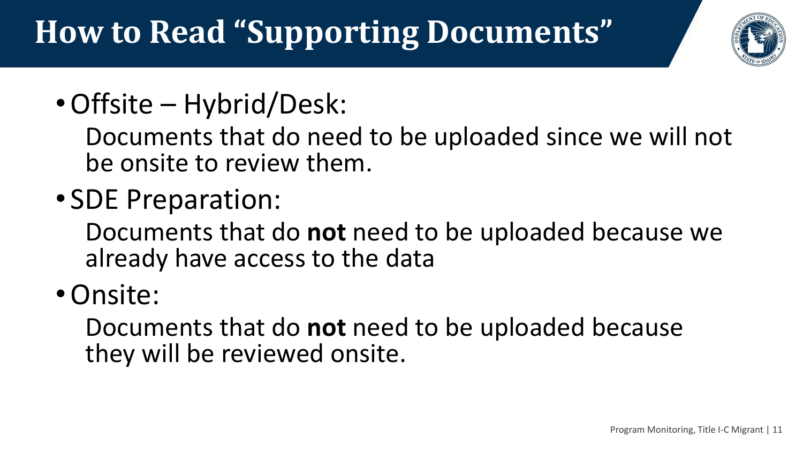# **How to Read "Supporting Documents"**



•Offsite – Hybrid/Desk:

Documents that do need to be uploaded since we will not be onsite to review them.

• SDE Preparation:

Documents that do **not** need to be uploaded because we already have access to the data

•Onsite:

Documents that do **not** need to be uploaded because they will be reviewed onsite.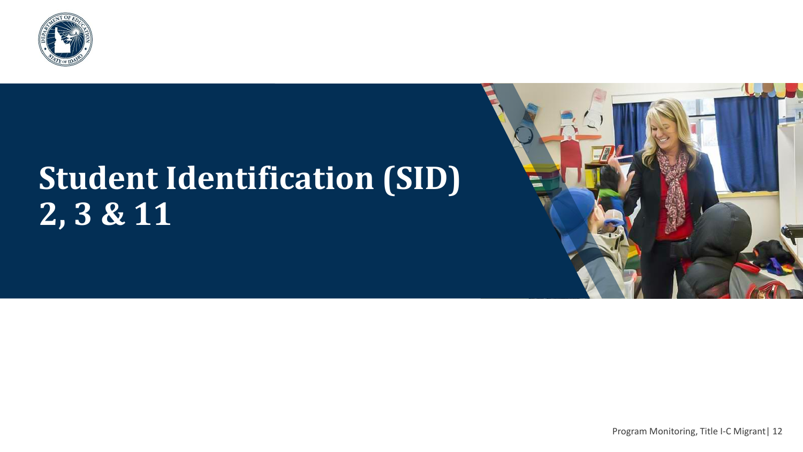

# **Student Identification (SID) 2, 3 & 11**



Program Monitoring, Title I-C Migrant| 12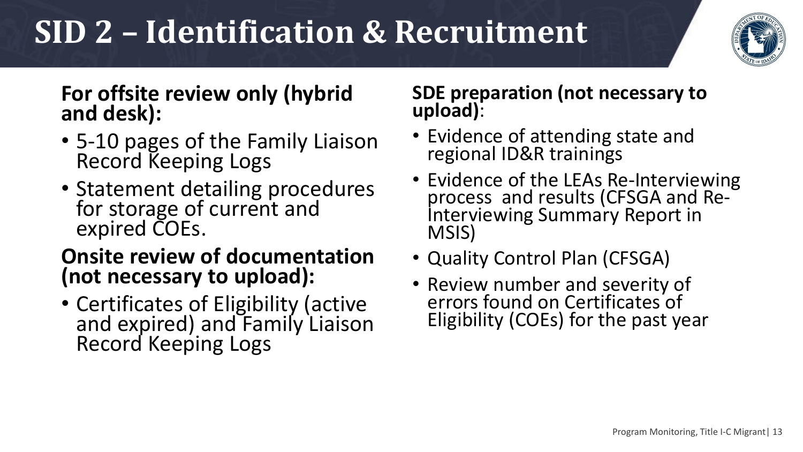# **SID 2 – Identification & Recruitment**



#### **For offsite review only (hybrid and desk):**

- 5-10 pages of the Family Liaison Record Keeping Logs
- Statement detailing procedures for storage of current and expired COEs.

#### **Onsite review of documentation (not necessary to upload):**

• Certificates of Eligibility (active and expired) and Family Liaison Record Keeping Logs

#### **SDE preparation (not necessary to upload)**:

- Evidence of attending state and regional ID&R trainings
- Evidence of the LEAs Re-Interviewing process and results (CFSGA and Re-Interviewing Summary Report in MSIS)
- Quality Control Plan (CFSGA)
- Review number and severity of errors found on Certificates of Eligibility (COEs) for the past year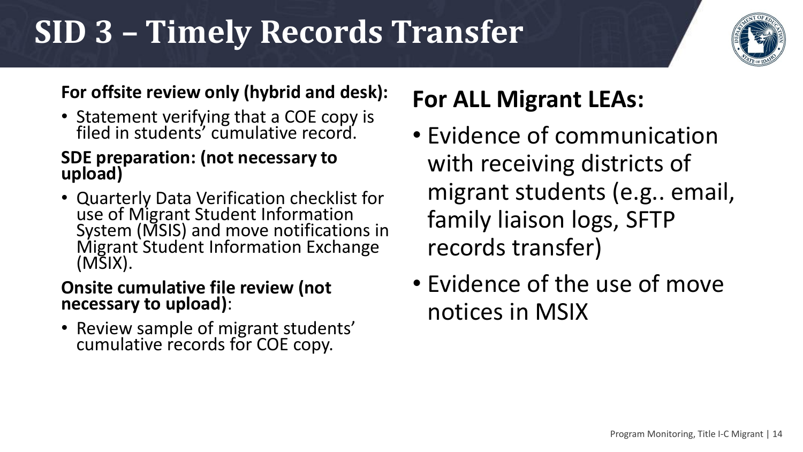### **SID 3 – Timely Records Transfer**



#### **For offsite review only (hybrid and desk):**

• Statement verifying that a COE copy is filed in students' cumulative record.

#### **SDE preparation: (not necessary to upload)**

• Quarterly Data Verification checklist for use of Migrant Student Information System (MSIS) and move notifications in Migrant Student Information Exchange (MSIX).

#### **Onsite cumulative file review (not necessary to upload)**:

• Review sample of migrant students' cumulative records for COE copy.

### **For ALL Migrant LEAs:**

- Evidence of communication with receiving districts of migrant students (e.g.. email, family liaison logs, SFTP records transfer)
- Evidence of the use of move notices in MSIX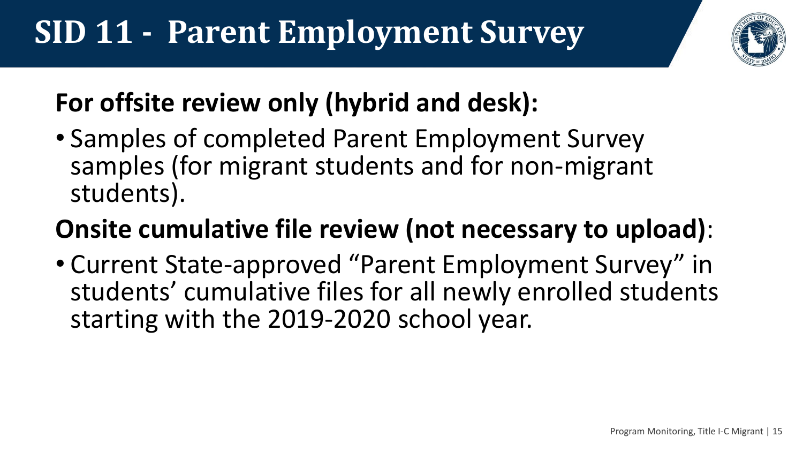

### **For offsite review only (hybrid and desk):**

• Samples of completed Parent Employment Survey samples (for migrant students and for non-migrant students).

### **Onsite cumulative file review (not necessary to upload)**:

• Current State-approved "Parent Employment Survey" in students' cumulative files for all newly enrolled students starting with the 2019-2020 school year.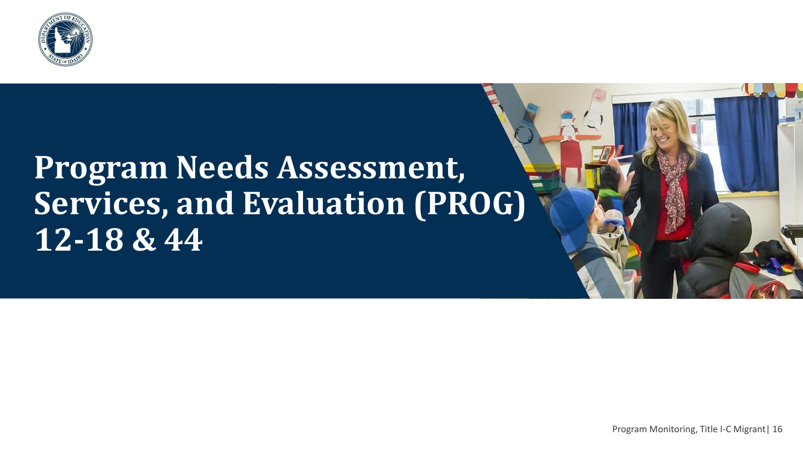

### **Program Needs Assessment, Services, and Evaluation (PROG) 12-18 & 44**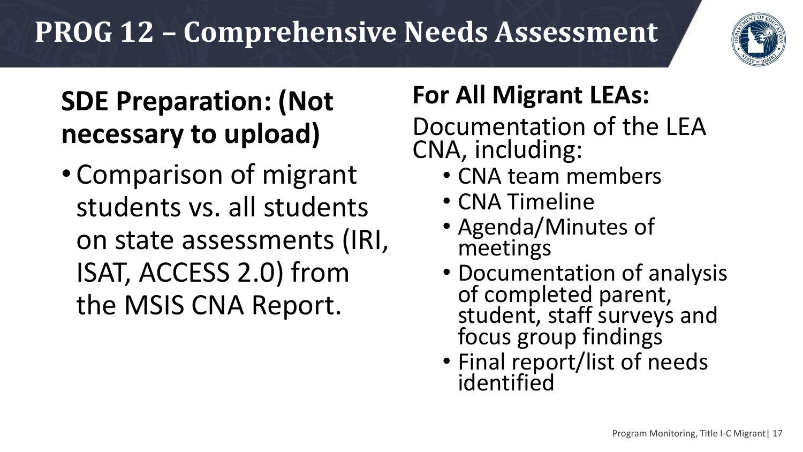### **PROG 12 – Comprehensive Needs Assessment**



### **SDE Preparation: (Not necessary to upload)**

• Comparison of migrant students vs. all students on state assessments (IRI, ISAT, ACCESS 2.0) from the MSIS CNA Report.

### **For All Migrant LEAs:**

Documentation of the LEA CNA, including:

- CNA team members
- CNA Timeline
- Agenda/Minutes of meetings
- Documentation of analysis of completed parent, student, staff surveys and focus group findings
- Final report/list of needs identified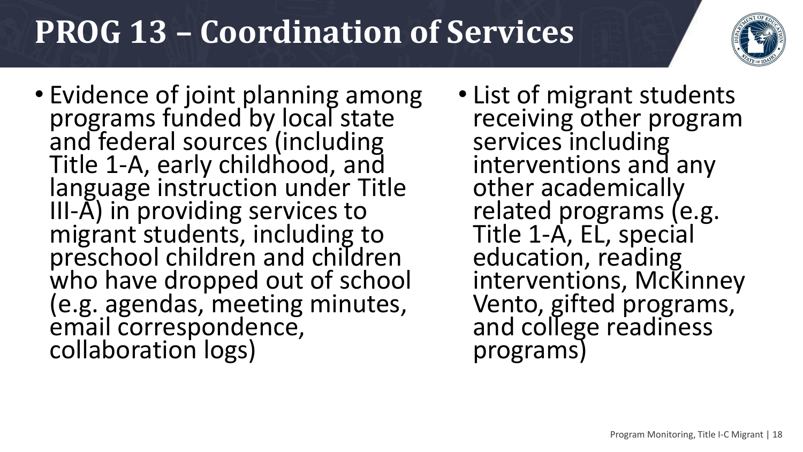### **PROG 13 – Coordination of Services**

- Evidence of joint planning among programs funded by local state and federal sources (including Title 1-A, early childhood, and language instruction under Title III-A) in providing services to migrant students, including to preschool children and children who have dropped out of school (e.g. agendas, meeting minutes, email correspondence, collaboration logs)
- List of migrant students receiving other program services including interventions and any other academically related programs (e.g. Title 1-A, EL, special education, reading interventions, McKinney Vento, gifted programs, and college readiness programs)

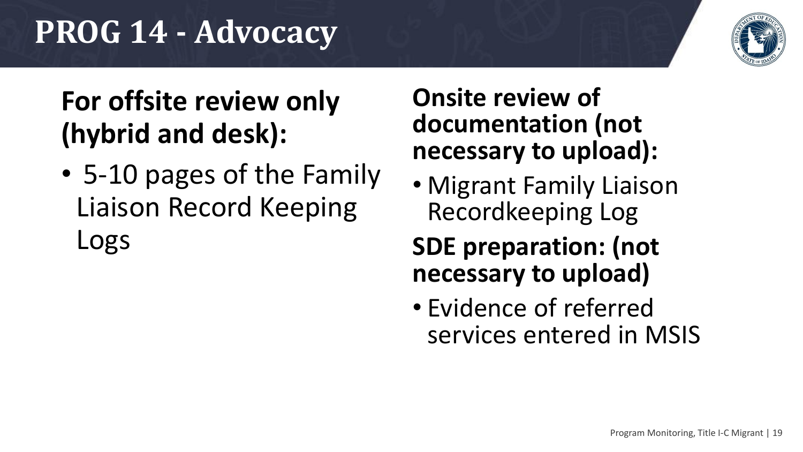### **PROG 14 - Advocacy**



### **For offsite review only (hybrid and desk):**

• 5-10 pages of the Family Liaison Record Keeping Logs

#### **Onsite review of documentation (not necessary to upload):**

• Migrant Family Liaison Recordkeeping Log

#### **SDE preparation: (not necessary to upload)**

• Evidence of referred services entered in MSIS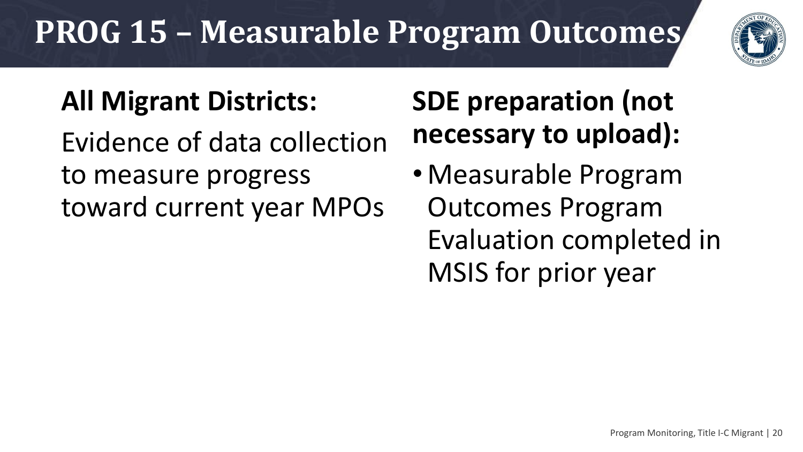# **PROG 15 – Measurable Program Outcomes**



### **All Migrant Districts:**

Evidence of data collection to measure progress toward current year MPOs

### **SDE preparation (not necessary to upload):**

• Measurable Program Outcomes Program Evaluation completed in MSIS for prior year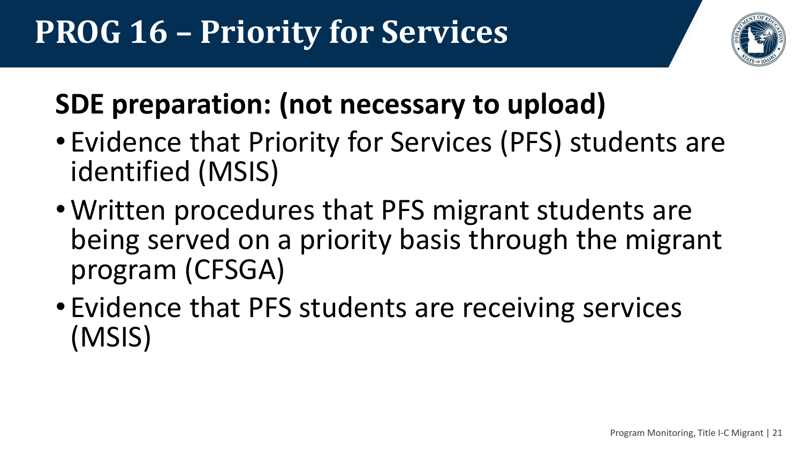

### **SDE preparation: (not necessary to upload)**

- Evidence that Priority for Services (PFS) students are identified (MSIS)
- •Written procedures that PFS migrant students are being served on a priority basis through the migrant program (CFSGA)
- Evidence that PFS students are receiving services (MSIS)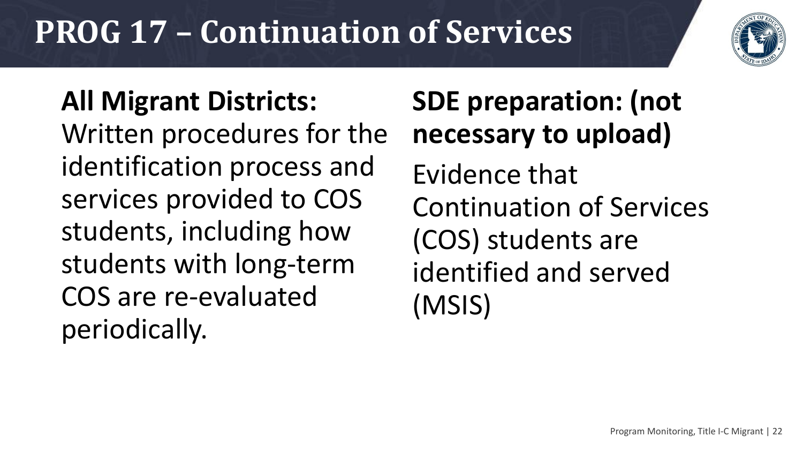### **PROG 17 – Continuation of Services**



**All Migrant Districts:**  Written procedures for the identification process and services provided to COS students, including how students with long-term COS are re-evaluated periodically.

### **SDE preparation: (not necessary to upload)** Evidence that Continuation of Services (COS) students are identified and served (MSIS)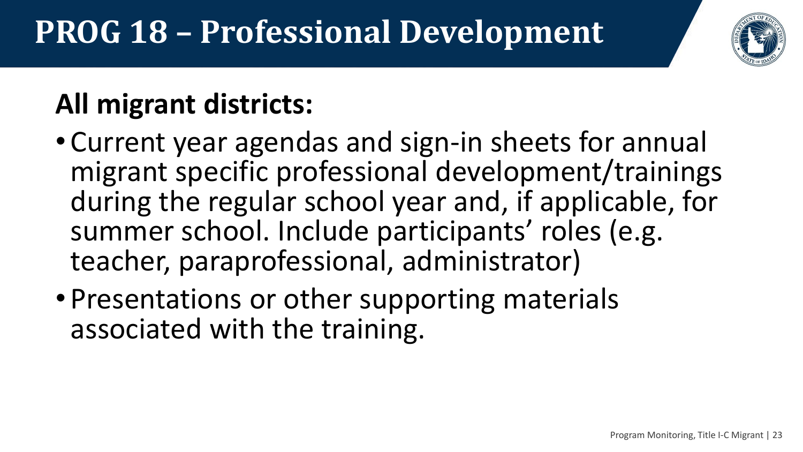# **PROG 18 – Professional Development**



### **All migrant districts:**

- Current year agendas and sign-in sheets for annual migrant specific professional development/trainings during the regular school year and, if applicable, for summer school. Include participants' roles (e.g. teacher, paraprofessional, administrator)
- Presentations or other supporting materials associated with the training.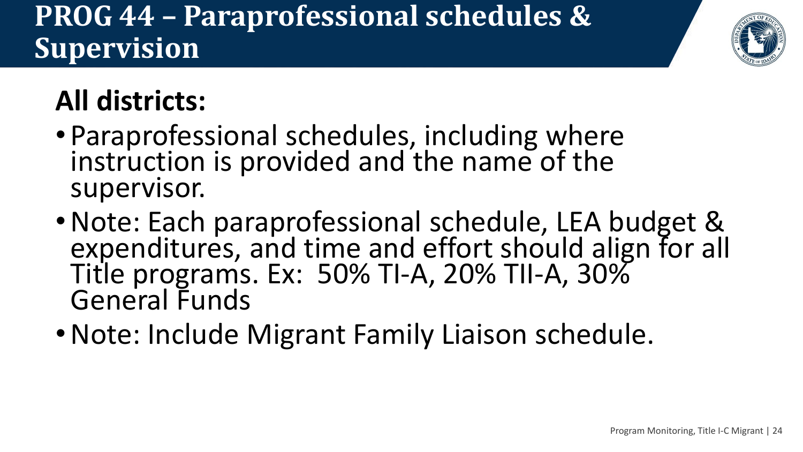### **PROG 44 – Paraprofessional schedules & Supervision**



### **All districts:**

- Paraprofessional schedules, including where instruction is provided and the name of the supervisor.
- •Note: Each paraprofessional schedule, LEA budget & expenditures, and time and effort should align for all Title programs. Ex: 50% TI-A, 20% TII-A, 30% General Funds
- •Note: Include Migrant Family Liaison schedule.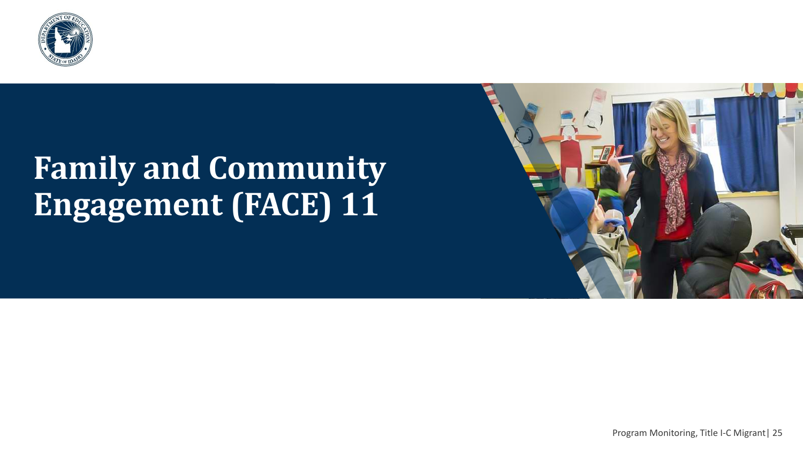

### **Family and Community Engagement (FACE) 11**



Program Monitoring, Title I-C Migrant| 25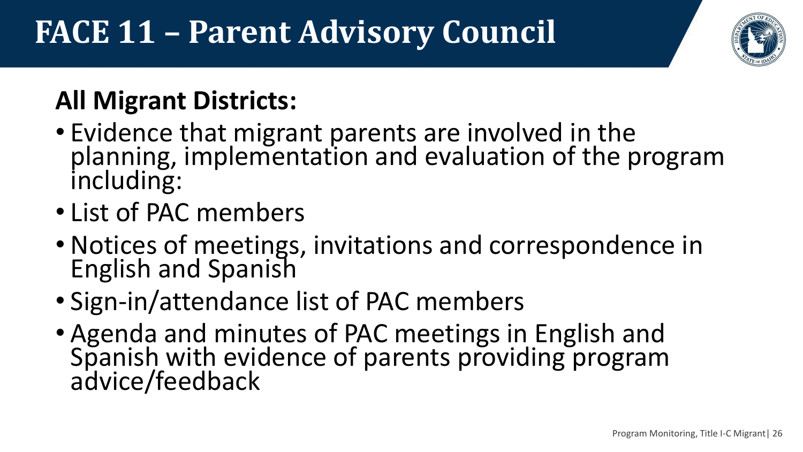## **FACE 11 – Parent Advisory Council**



### **All Migrant Districts:**

- Evidence that migrant parents are involved in the planning, implementation and evaluation of the program including:
- List of PAC members
- Notices of meetings, invitations and correspondence in English and Spanish
- Sign-in/attendance list of PAC members
- Agenda and minutes of PAC meetings in English and Spanish with evidence of parents providing program advice/feedback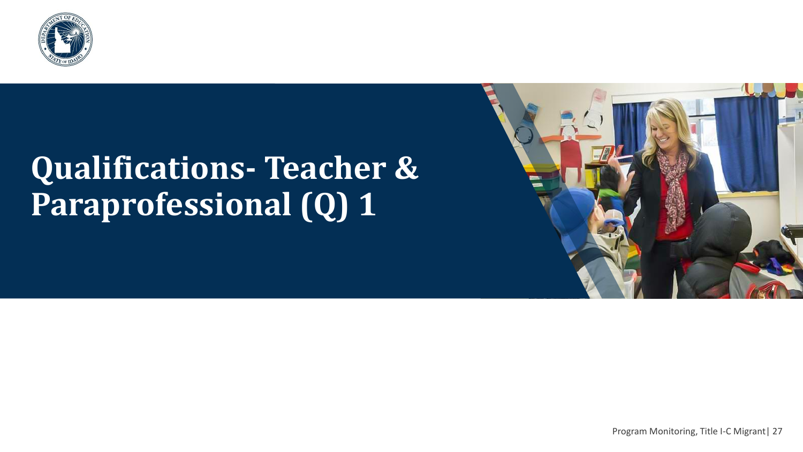

### **Qualifications- Teacher & Paraprofessional (Q) 1**

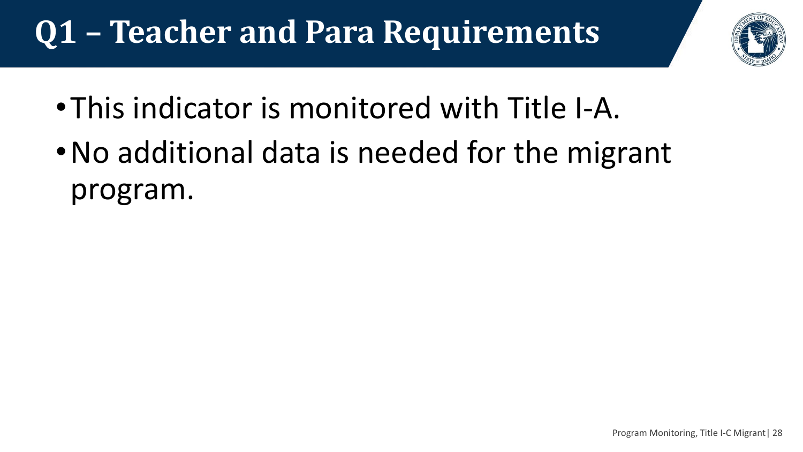# **Q1 – Teacher and Para Requirements**



- •This indicator is monitored with Title I-A.
- •No additional data is needed for the migrant program.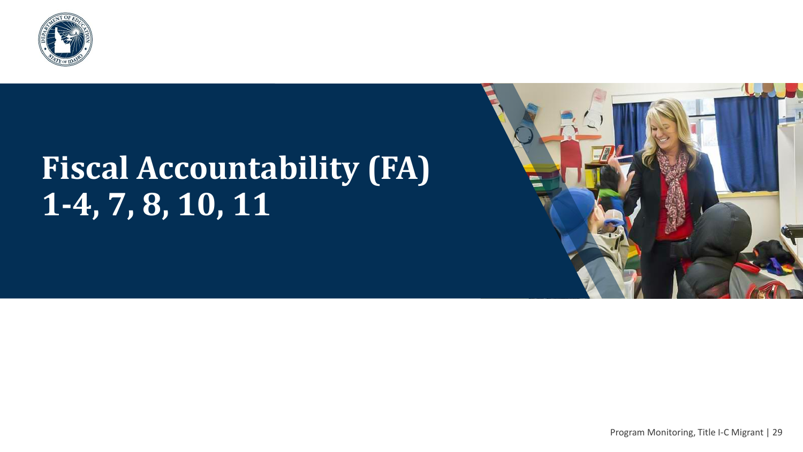

### **Fiscal Accountability (FA) 1-4, 7, 8, 10, 11**

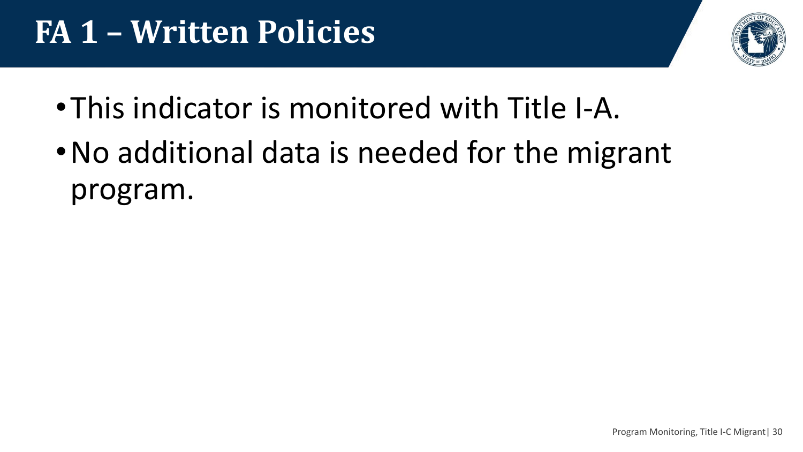### **FA 1 – Written Policies**



- •This indicator is monitored with Title I-A.
- •No additional data is needed for the migrant program.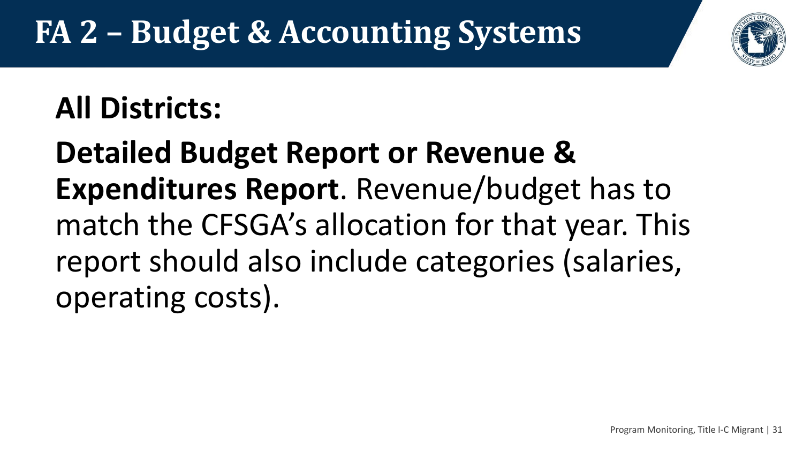# **FA 2 – Budget & Accounting Systems**

### **All Districts:**

**Detailed Budget Report or Revenue & Expenditures Report**. Revenue/budget has to match the CFSGA's allocation for that year. This report should also include categories (salaries, operating costs).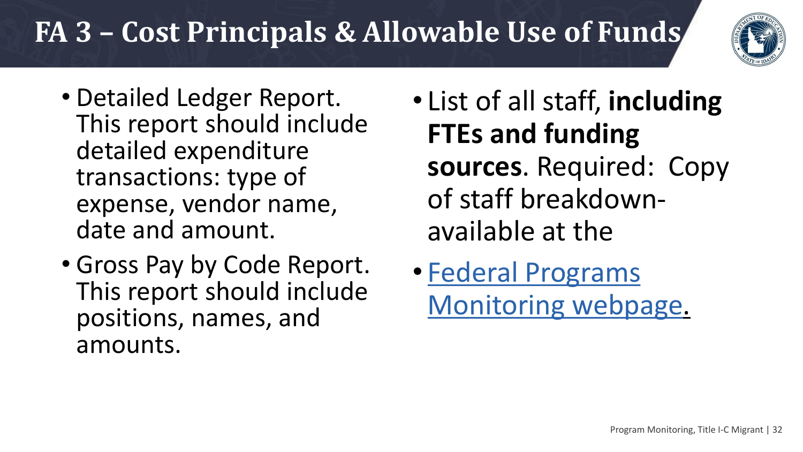### **FA 3 – Cost Principals & Allowable Use of Funds**



- Detailed Ledger Report. This report should include detailed expenditure transactions: type of expense, vendor name, date and amount.
- Gross Pay by Code Report. This report should include positions, names, and amounts.
- List of all staff, **including FTEs and funding sources**. Required: Copy of staff breakdownavailable at the
- Federal Programs [Monitoring webpage.](http://www.sde.idaho.gov/federal-programs/program-monitoring/)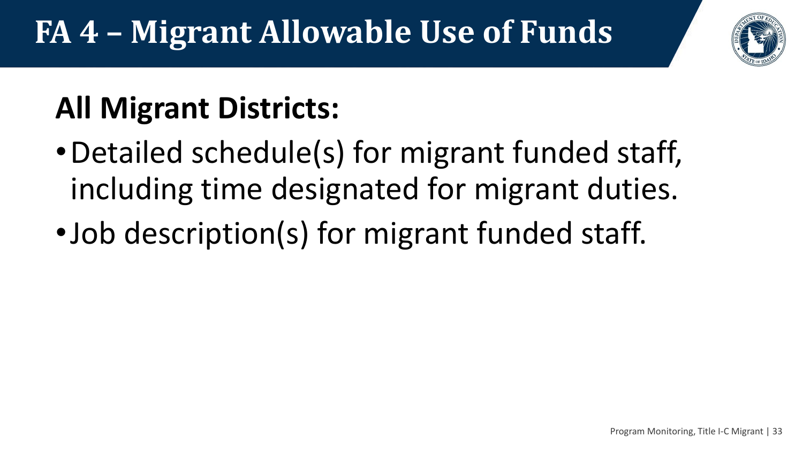### **FA 4 – Migrant Allowable Use of Funds**



# **All Migrant Districts:**

- •Detailed schedule(s) for migrant funded staff, including time designated for migrant duties.
- •Job description(s) for migrant funded staff.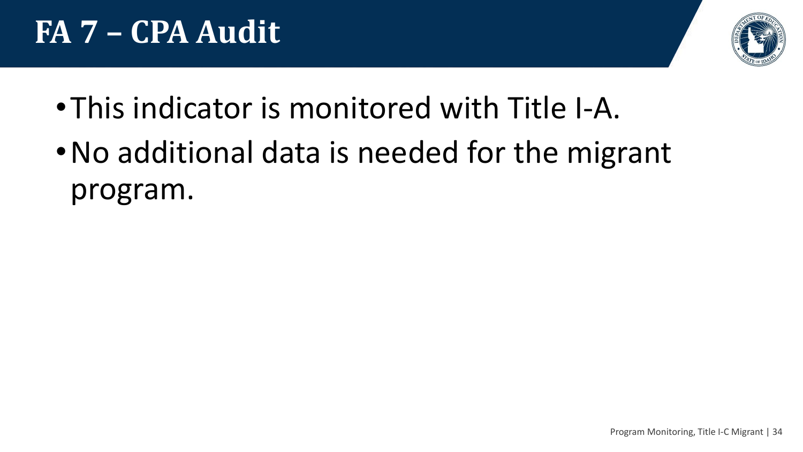

- •This indicator is monitored with Title I-A.
- •No additional data is needed for the migrant program.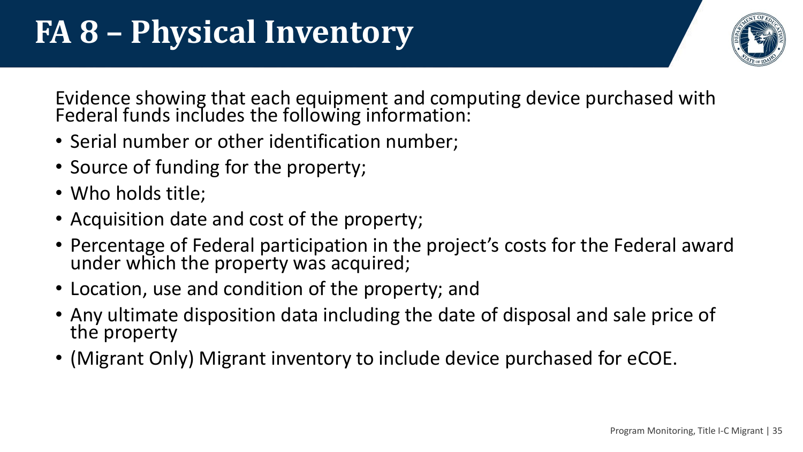

Evidence showing that each equipment and computing device purchased with Federal funds includes the following information:

- Serial number or other identification number;
- Source of funding for the property;
- Who holds title;
- Acquisition date and cost of the property;
- Percentage of Federal participation in the project's costs for the Federal award under which the property was acquired;
- Location, use and condition of the property; and
- Any ultimate disposition data including the date of disposal and sale price of the property
- (Migrant Only) Migrant inventory to include device purchased for eCOE.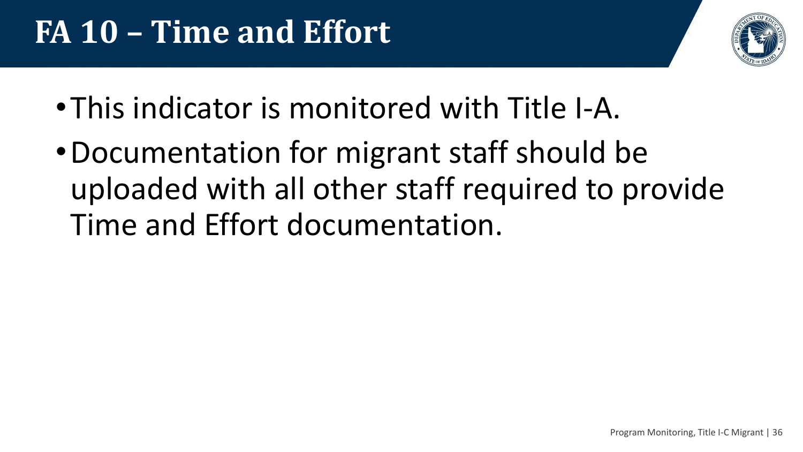

- •This indicator is monitored with Title I-A.
- •Documentation for migrant staff should be uploaded with all other staff required to provide Time and Effort documentation.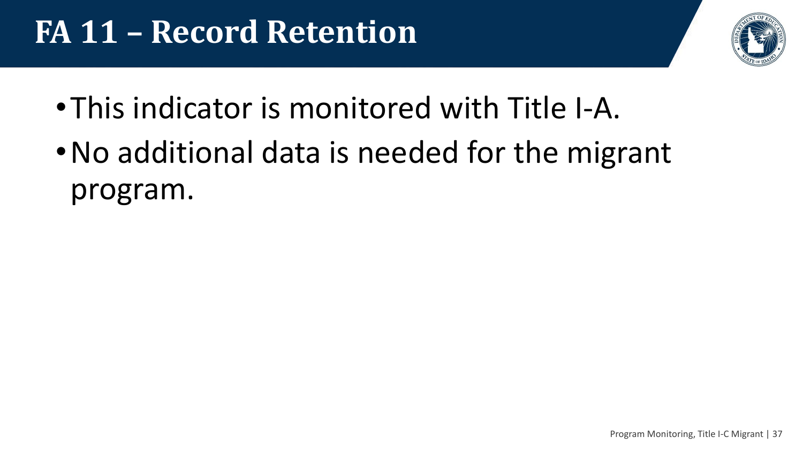### **FA 11 – Record Retention**



- •This indicator is monitored with Title I-A.
- •No additional data is needed for the migrant program.